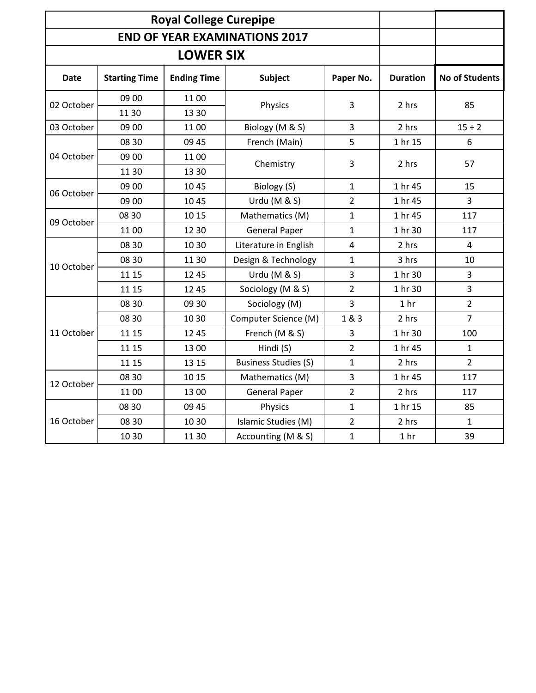| <b>Royal College Curepipe</b>        |                      |                    |                             |                         |                 |                       |
|--------------------------------------|----------------------|--------------------|-----------------------------|-------------------------|-----------------|-----------------------|
| <b>END OF YEAR EXAMINATIONS 2017</b> |                      |                    |                             |                         |                 |                       |
| <b>LOWER SIX</b>                     |                      |                    |                             |                         |                 |                       |
| Date                                 | <b>Starting Time</b> | <b>Ending Time</b> | Subject                     | Paper No.               | <b>Duration</b> | <b>No of Students</b> |
| 02 October                           | 09 00<br>1130        | 1100<br>13 30      | Physics                     | 3                       | 2 hrs           | 85                    |
| 03 October                           | 09 00                | 1100               | Biology (M & S)             | 3                       | 2 hrs           | $15 + 2$              |
| 04 October                           | 08 30                | 09 45              | French (Main)               | 5                       | 1 hr 15         | 6                     |
|                                      | 09 00<br>11 30       | 1100<br>13 30      | Chemistry                   | 3                       | 2 hrs           | 57                    |
| 06 October                           | 09 00                | 10 45              | Biology (S)                 | $\mathbf{1}$            | 1 hr 45         | 15                    |
|                                      | 09 00                | 1045               | Urdu (M & S)                | $\overline{2}$          | 1 hr 45         | 3                     |
|                                      | 08 30                | 10 15              | Mathematics (M)             | 1                       | 1 hr 45         | 117                   |
| 09 October                           | 1100                 | 12 30              | <b>General Paper</b>        | $\mathbf{1}$            | 1 hr 30         | 117                   |
| 10 October                           | 08 30                | 10 30              | Literature in English       | $\overline{\mathbf{4}}$ | 2 hrs           | $\overline{4}$        |
|                                      | 08 30                | 11 30              | Design & Technology         | 1                       | 3 hrs           | 10                    |
|                                      | 11 15                | 12 45              | Urdu (M & S)                | 3                       | 1 hr 30         | 3                     |
|                                      | 11 15                | 12 45              | Sociology (M & S)           | 2                       | 1 hr 30         | 3                     |
|                                      | 08 30                | 09 30              | Sociology (M)               | 3                       | 1 <sub>hr</sub> | $\overline{2}$        |
| 11 October                           | 08 30                | 10 30              | Computer Science (M)        | 1 & 3                   | 2 hrs           | $\overline{7}$        |
|                                      | 11 15                | 12 45              | French (M & S)              | 3                       | 1 hr 30         | 100                   |
|                                      | 11 15                | 13 00              | Hindi (S)                   | $\overline{2}$          | 1 hr 45         | $\mathbf{1}$          |
|                                      | 11 15                | 13 15              | <b>Business Studies (S)</b> | $\mathbf 1$             | 2 hrs           | $\overline{2}$        |
| 12 October                           | 08 30                | 10 15              | Mathematics (M)             | 3                       | 1 hr 45         | 117                   |
|                                      | 1100                 | 13 00              | <b>General Paper</b>        | $\overline{2}$          | 2 hrs           | 117                   |
| 16 October                           | 08 30                | 09 45              | Physics                     | $\mathbf 1$             | 1 hr 15         | 85                    |
|                                      | 08 30                | 10 30              | Islamic Studies (M)         | $\overline{2}$          | 2 hrs           | $\mathbf{1}$          |
|                                      | 10 30                | 11 30              | Accounting (M & S)          | $\mathbf{1}$            | 1 <sub>hr</sub> | 39                    |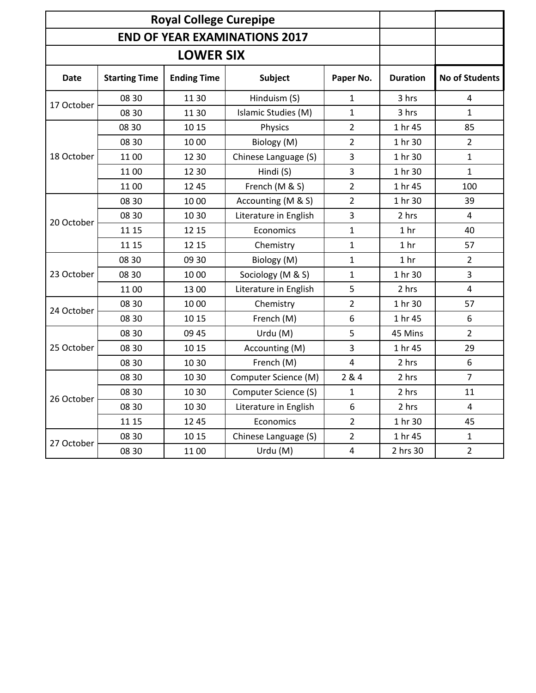| <b>Royal College Curepipe</b>        |                      |                    |                       |                |                 |                       |
|--------------------------------------|----------------------|--------------------|-----------------------|----------------|-----------------|-----------------------|
| <b>END OF YEAR EXAMINATIONS 2017</b> |                      |                    |                       |                |                 |                       |
| <b>LOWER SIX</b>                     |                      |                    |                       |                |                 |                       |
| <b>Date</b>                          | <b>Starting Time</b> | <b>Ending Time</b> | <b>Subject</b>        | Paper No.      | <b>Duration</b> | <b>No of Students</b> |
| 17 October                           | 08 30                | 11 30              | Hinduism (S)          | 1              | 3 hrs           | 4                     |
|                                      | 08 30                | 11 30              | Islamic Studies (M)   | 1              | 3 hrs           | $\mathbf{1}$          |
|                                      | 08 30                | 10 15              | Physics               | 2              | 1 hr 45         | 85                    |
|                                      | 08 30                | 10 00              | Biology (M)           | $\overline{2}$ | 1 hr 30         | $\overline{2}$        |
| 18 October                           | 1100                 | 12 30              | Chinese Language (S)  | 3              | 1 hr 30         | $\mathbf{1}$          |
|                                      | 1100                 | 12 30              | Hindi (S)             | 3              | 1 hr 30         | $\mathbf 1$           |
|                                      | 1100                 | 12 45              | French (M & S)        | $\overline{2}$ | 1 hr 45         | 100                   |
| 20 October                           | 08 30                | 10 00              | Accounting (M & S)    | 2              | 1 hr 30         | 39                    |
|                                      | 08 30                | 10 30              | Literature in English | 3              | 2 hrs           | $\overline{4}$        |
|                                      | 11 15                | 12 15              | Economics             | 1              | 1 <sub>hr</sub> | 40                    |
|                                      | 11 15                | 12 15              | Chemistry             | $\mathbf{1}$   | 1 <sub>hr</sub> | 57                    |
| 23 October                           | 08 30                | 09 30              | Biology (M)           | $\mathbf{1}$   | 1 <sub>hr</sub> | $\overline{2}$        |
|                                      | 08 30                | 10 00              | Sociology (M & S)     | 1              | 1 hr 30         | 3                     |
|                                      | 1100                 | 13 00              | Literature in English | 5              | 2 hrs           | $\overline{4}$        |
| 24 October                           | 08 30                | 10 00              | Chemistry             | 2              | 1 hr 30         | 57                    |
|                                      | 08 30                | 10 15              | French (M)            | 6              | 1 hr 45         | 6                     |
| 25 October                           | 08 30                | 09 45              | Urdu (M)              | 5              | 45 Mins         | $\overline{2}$        |
|                                      | 08 30                | 10 15              | Accounting (M)        | 3              | 1 hr 45         | 29                    |
|                                      | 08 30                | 10 30              | French (M)            | 4              | 2 hrs           | 6                     |
| 26 October                           | 08 30                | 10 30              | Computer Science (M)  | 2 & 4          | 2 hrs           | $\overline{7}$        |
|                                      | 08 30                | 10 30              | Computer Science (S)  | 1              | 2 hrs           | 11                    |
|                                      | 08 30                | 10 30              | Literature in English | 6              | 2 hrs           | $\overline{4}$        |
|                                      | 11 15                | 12 45              | Economics             | $\overline{2}$ | 1 hr 30         | 45                    |
| 27 October                           | 08 30                | 10 15              | Chinese Language (S)  | 2              | 1 hr 45         | $\mathbf{1}$          |
|                                      | 08 30                | 1100               | Urdu (M)              | $\overline{4}$ | 2 hrs 30        | $\overline{2}$        |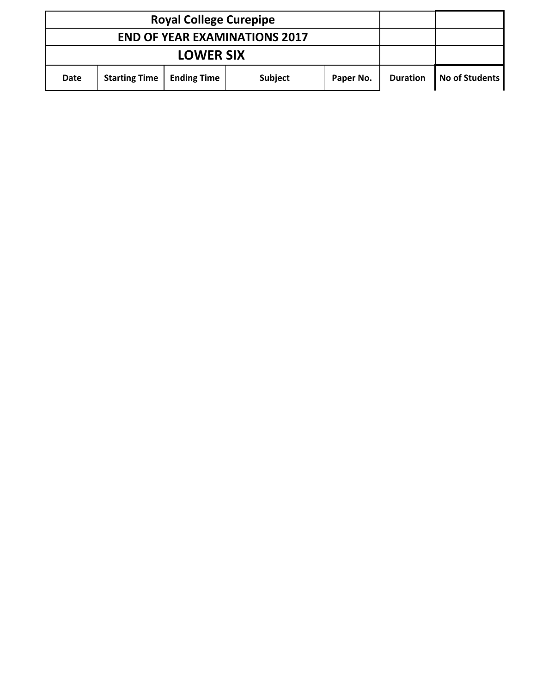| <b>Royal College Curepipe</b>        |                      |                    |                |           |                 |                |
|--------------------------------------|----------------------|--------------------|----------------|-----------|-----------------|----------------|
| <b>END OF YEAR EXAMINATIONS 2017</b> |                      |                    |                |           |                 |                |
| <b>LOWER SIX</b>                     |                      |                    |                |           |                 |                |
| <b>Date</b>                          | <b>Starting Time</b> | <b>Ending Time</b> | <b>Subject</b> | Paper No. | <b>Duration</b> | No of Students |